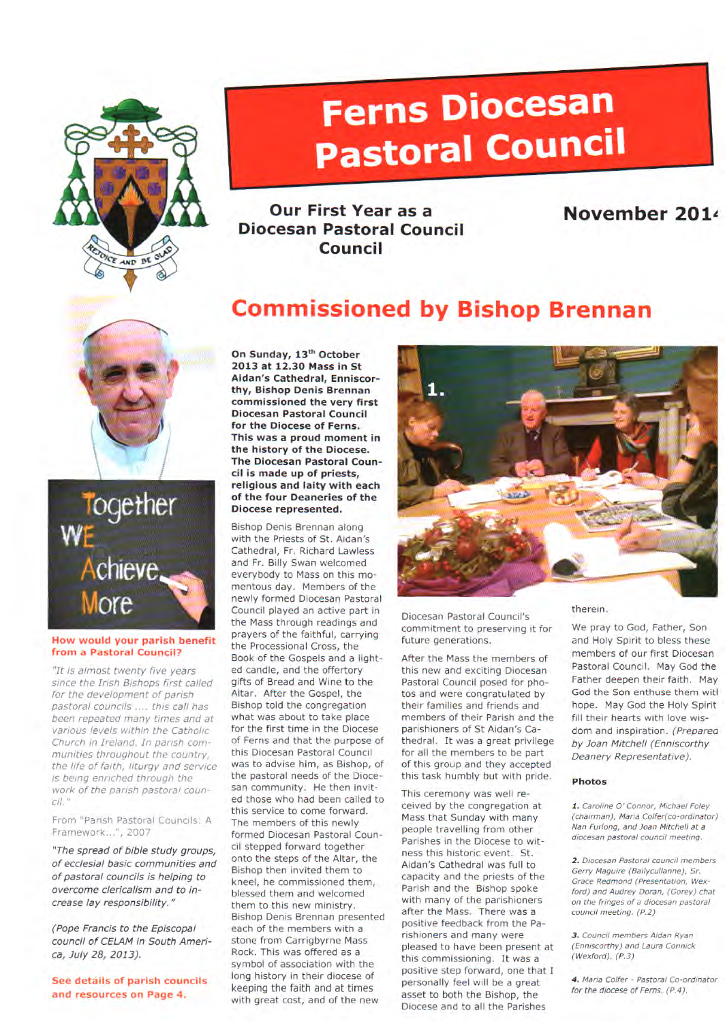

# **Ferns Diocesan Pastoral Council**

**Our First Year as a Diocesan Pastoral Council Council** 

### **November 2014**

### **Commissioned by Bishop Brennan**





#### **How would your parish benefit from a Pastoral Council?**

"It is almost twenty five years since the Irish Bishops first called for the development of parish pastoral councils ..., this call has been repeated many times and at various levels within the Catholic Church in Ireland. In parish communities throughout the country, the life of faith, liturgy and service is being enriched through the work of the parish pastoral council."

From "Parish Pastoral Councils: A Framework...", **2007** 

"The spread of bible study groups, of ecclesial basic communities and of pastoral councils is helping to overcome clericalism and to increase lay responsibility."

(Pope Francis to the Episcopal council of CELAM in South America, July 28, 2013).

**See details of parish councils and resources on Page 4.** 

**On Sunday, 13th October 2013 at 12.30 Mass in St Aidan's Cathedral, Enniscorthy, Bishop Denis Brennan commissioned the very first Diocesan Pastoral Council for the Diocese of Ferns. This was a proud moment in the history of the Diocese. The Diocesan Pastoral Council is made up of priests, religious and laity with each of the four Deaneries of the Diocese represented.** 

Bishop Denis Brennan along with the Priests of St. Aidan's Cathedral, Fr. Richard Lawless and Fr. Billy Swan welcomed everybody to Mass on this momentous day. Members of the newly formed Diocesan Pastoral Council played an active part in the Mass through readings and prayers of the faithful, carrying the Processional Cross, the Book of the Gospels and a lighted candle, and the offertory gifts of Bread and Wine to the Altar. After the Gospel, the Bishop told the congregation what was about to take place for the first time in the Diocese of Ferns and that the purpose of this Diocesan Pastoral Council was to advise him, as Bishop, of the pastoral needs of the Diocesan community. He then invited those who had been called to this service to come forward. The members of this newly formed Diocesan Pastoral Council stepped forward together onto the steps of the Altar, the Bishop then invited them to kneel, he commissioned them, blessed them and welcomed them to this new ministry. Bishop Denis Brennan presented each of the members with a stone from Carrigbyrne Mass Rock. This was offered as a symbol of association with the long history in their diocese of keeping the faith and at times with great cost, and of the new



Diocesan Pastoral Council's commitment to preserving it for future generations.

After the Mass the members of this new and exciting Diocesan Pastoral Council posed for photos and were congratulated by their families and friends and members of their Parish and the parishioners of St Aidan's Cathedral. It was a great privilege for all the members to be part of this group and they accepted this task humbly but with pride.

This ceremony was well received by the congregation at Mass that Sunday with many people travelling from other Parishes in the Diocese to witness this historic event. St. Aidan's Cathedral was full to capacity and the priests of the Parish and the Bishop spoke with many of the parishioners after the Mass. There was a positive feedback from the Parishioners and many were pleased to have been present at this commissioning. It was a positive step forward, one that I personally feel will be a great asset to both the Bishop, the Diocese and to all the Parishes

#### therein.

We pray to God, Father, Son and Holy Spirit to bless these members of our first Diocesan Pastoral Council. May God the Father deepen their faith. May God the Son enthuse them witl hope. May God the Holy Spirit fill their hearts with love wisdom and inspiration. (Preparea by Joan Mitchell (Enniscorthy Deanery Representative).

#### **Photos**

1. Caroline 0' Connor, Michael Foley (chairman), Maria Colfer(co-ordinator) Nan Furlong, and Joan Mitchell at a diocesan pastoral council meeting.

2. Diocesan Pastoral council members Gerry Maguire (Ballycullanne), Sr. Grace Redmond (Presentation, Wexford) and Audrey Doran, (Gorey) chat on the fringes of a diocesan pastoral council meeting. (P.2)

3. Council members Aidan Ryan (Enniscorthy) and Laura Connick (Wexford). (P.3)

4. Maria Colfer - Pastoral Co-ordinator for the diocese of Ferns. (P.4).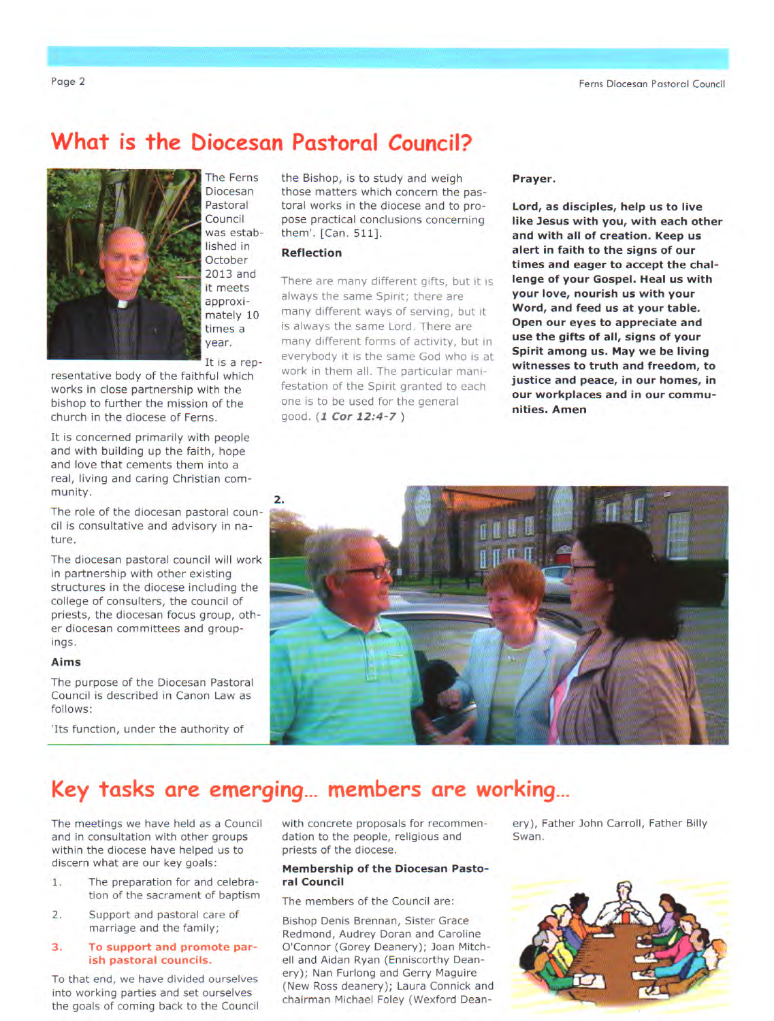### **What is the biocesan Pastoral Council?**



The Ferns Diocesan **Pastoral** Council was established in **October** 2013 and it meets approximately 10 times a year.

It is a rep-

resentative body of the faithful which works in close partnership with the bishop to further the mission of the church in the diocese of Ferns.

It is concerned primarily with people and with building up the faith, hope and love that cements them into a real, living and caring Christian community.

The role of the diocesan pastoral council is consultative and advisory in nature.

The diocesan pastoral council will work in partnership with other existing structures in the diocese including the college of consulters, the council of priests, the diocesan focus group, other diocesan committees and groupings.

#### **Aims**

The purpose of the Diocesan Pastoral Council is described in Canon Law as follows:

'Its function, under the authority of

the Bishop, is to study and weigh those matters which concern the pastoral works in the diocese and to propose practical conclusions concerning them'. [Can. 511].

#### **Reflection**

There are many different gifts, but it is always the same Spirit; there are many different ways of serving, but it is always the same Lord. There are many different forms of activity, but in everybody it is the same God who is at work in them all. The particular manifestation of the Spirit granted to each one is to be used for the general qood. (1 Cor 12:4-7)

#### **Prayer.**

**Lord, as disciples, help us to live like Jesus with you, with each other and with all of creation. Keep us alert in faith to the signs of our times and eager to accept the challenge of your Gospel. Heal us with your love, nourish us with your Word, and feed us at your table. Open our eyes to appreciate and use the gifts of all, signs of your Spirit among us. May we be living witnesses to truth and freedom, to justice and peace, in our homes, in our workplaces and in our communities. Amen** 



### **Key tasks are emerging... members are working...**

The meetings we have held as a Council and in consultation with other groups within the diocese have helped us to discern what are our key goals:

- 1. The preparation for and celebration of the sacrament of baptism
- 2. Support and pastoral care of marriage and the family;

#### **3. To support and promote parish pastoral councils.**

To that end, we have divided ourselves into working parties and set ourselves the goals of coming back to the Council with concrete proposals for recommendation to the people, religious and priests of the diocese.

#### **Membership of the Diocesan Pastoral Council**

The members of the Council are:

Bishop Denis Brennan, Sister Grace Redmond, Audrey Doran and Caroline O'Connor (Gorey Deanery); Joan Mitchell and Aidan Ryan (Enniscorthy Deanery); Nan Furlong and Gerry Maguire (New Ross deanery); Laura Connick and chairman Michael Foley (Wexford Dean-

ery), Father John Carroll, Father Billy Swan.

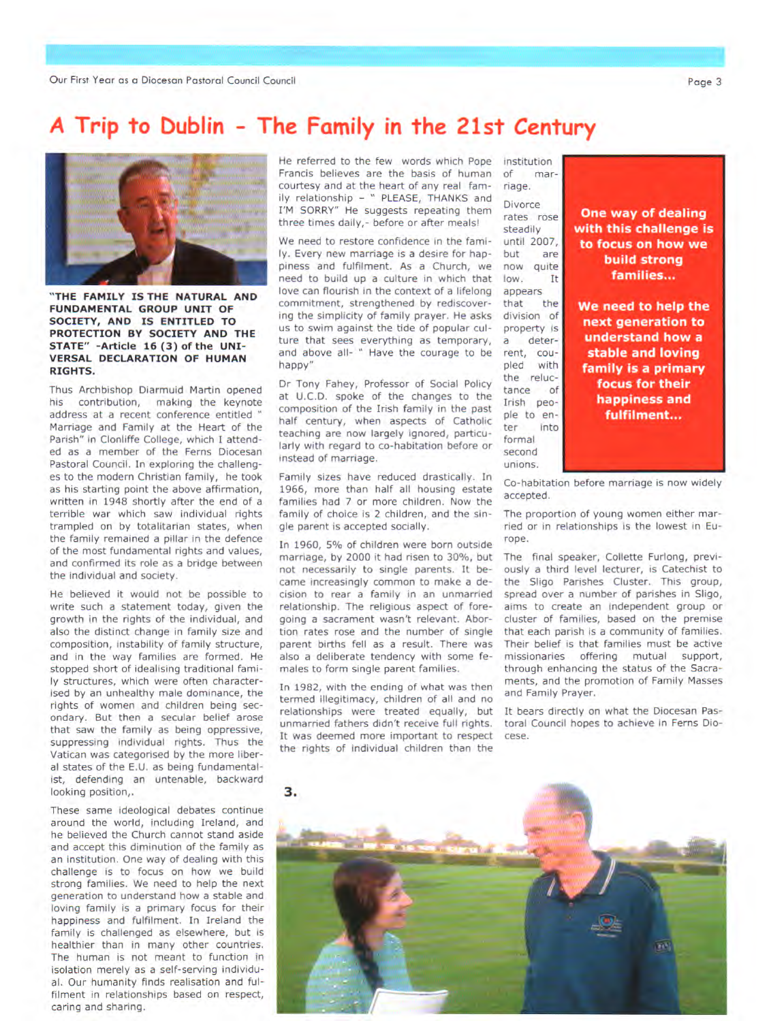## *A* **Trip to Dublin - The Family in the 21st Century**



**"THE FAMILY IS THE NATURAL AND FUNDAMENTAL GROUP UNIT OF SOCIETY, AND IS ENTITLED TO PROTECTION BY SOCIETY AND THE STATE" -Article 16 (3) of the UNI-VERSAL DECLARATION OF HUMAN RIGHTS.** 

Thus Archbishop Diarmuid Martin opened his contribution, making the keynote address at a recent conference entitled ' Marriage and Family at the Heart of the Parish" in Clonliffe College, which I attended as a member of the Ferns Diocesan Pastoral Council. In exploring the challenges to the modern Christian family, he took as his starting point the above affirmation, written in 1948 shortly after the end of a terrible war which saw individual rights trampled on by totalitarian states, when the family remained a pillar in the defence of the most fundamental rights and values, and confirmed its role as a bridge between the individual and society.

He believed it would not be possible to write such a statement today, given the growth in the rights of the individual, and also the distinct change in family size and composition, instability of family structure, and in the way families are formed. He stopped short of idealising traditional family structures, which were often characterised by an unhealthy male dominance, the rights of women and children being secondary. But then a secular belief arose that saw the family as being oppressive, suppressing individual rights. Thus the Vatican was categorised by the more liberal states of the E.U. as being fundamentalist, defending an untenable, backward looking position,.

These same ideological debates continue around the world, including Ireland, and he believed the Church cannot stand aside and accept this diminution of the family as an institution. One way of dealing with this challenge is to focus on how we build strong families. We need to help the next generation to understand how a stable and loving family is a primary focus for their happiness and fulfilment. In Ireland the family is challenged as elsewhere, but is healthier than in many other countries. The human is not meant to function in isolation merely as a self-serving individual. Our humanity finds realisation and fulfilment in relationships based on respect, caring and sharing.

He referred to the few words which Pope Francis believes are the basis of human courtesy and at the heart of any real family relationship - " PLEASE, THANKS and I'M SORRY" He suggests repeating them three times daily,- before or after meals!

We need to restore confidence in the family. Every new marriage is a desire for happiness and fulfilment. As a Church, we need to build up a culture in which that love can flourish in the context of a lifelong commitment, strengthened by rediscovering the simplicity of family prayer. He asks us to swim against the tide of popular culture that sees everything as temporary, and above all- " Have the courage to be happy"

Dr Tony Fahey, Professor of Social Policy at U.C.D. spoke of the changes to the composition of the Irish family in the past half century, when aspects of Catholic teaching are now largely ignored, particularly with regard to co-habitation before or instead of marriage.

Family sizes have reduced drastically. In 1966, more than half all housing estate families had 7 or more children. Now the family of choice is 2 children, and the single parent is accepted socially.

In 1960, 5% of children were born outside marriage, by 2000 it had risen to 30%, but not necessarily to single parents. It became increasingly common to make a decision to rear a family in an unmarried relationship. The religious aspect of foregoing a sacrament wasn't relevant. Abortion rates rose and the number of single parent births fell as a result. There was also a deliberate tendency with some females to form single parent families.

In 1982, with the ending of what was then termed illegitimacy, children of all and no relationships were treated equally, but unmarried fathers didn't receive full rights. It was deemed more important to respect the rights of individual children than the

institution of marriage. Divorce rates rose

steadily until 2007, but are<br>now quite now quite low. It appears that the division of property is a deterrent, coupled with the reluctance of Irish people to enter into formal second unions.

**One way of dealing with this challenge is to focus on how we build strong families...** 

**We need to help the next generation to understand how a stable and loving family is a primary focus for their happiness and fulfilment...** 

Co-habitation before marriage is now widely accepted.

The proportion of young women either married or in relationships is the lowest in Europe.

The final speaker, Collette Furlong, previously a third level lecturer, is Catechist to the Sligo Parishes Cluster. This group, spread over a number of parishes in Sligo, aims to create an independent group or cluster of families, based on the premise that each parish is a community of families. Their belief is that families must be active missionaries offering mutual support, through enhancing the status of the Sacraments, and the promotion of Family Masses and Family Prayer.

It bears directly on what the Diocesan Pastoral Council hopes to achieve in Ferns Diocese.